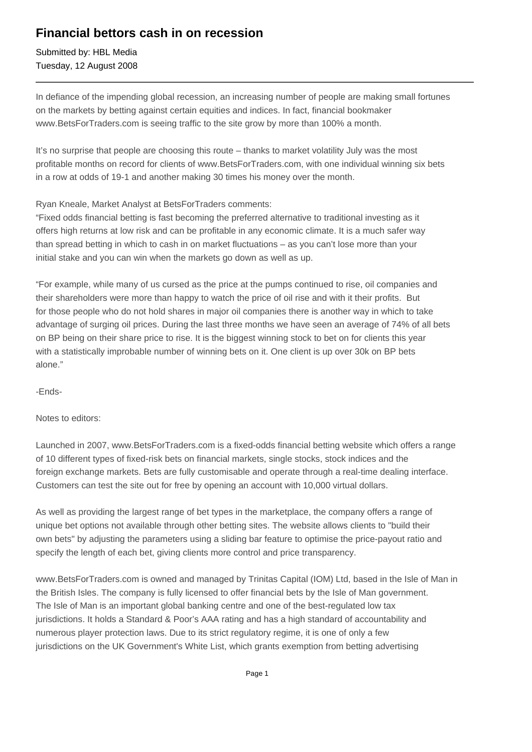## **Financial bettors cash in on recession**

Submitted by: HBL Media Tuesday, 12 August 2008

In defiance of the impending global recession, an increasing number of people are making small fortunes on the markets by betting against certain equities and indices. In fact, financial bookmaker www.BetsForTraders.com is seeing traffic to the site grow by more than 100% a month.

It's no surprise that people are choosing this route – thanks to market volatility July was the most profitable months on record for clients of www.BetsForTraders.com, with one individual winning six bets in a row at odds of 19-1 and another making 30 times his money over the month.

Ryan Kneale, Market Analyst at BetsForTraders comments:

"Fixed odds financial betting is fast becoming the preferred alternative to traditional investing as it offers high returns at low risk and can be profitable in any economic climate. It is a much safer way than spread betting in which to cash in on market fluctuations – as you can't lose more than your initial stake and you can win when the markets go down as well as up.

"For example, while many of us cursed as the price at the pumps continued to rise, oil companies and their shareholders were more than happy to watch the price of oil rise and with it their profits. But for those people who do not hold shares in major oil companies there is another way in which to take advantage of surging oil prices. During the last three months we have seen an average of 74% of all bets on BP being on their share price to rise. It is the biggest winning stock to bet on for clients this year with a statistically improbable number of winning bets on it. One client is up over 30k on BP bets alone."

-Ends-

Notes to editors:

Launched in 2007, www.BetsForTraders.com is a fixed-odds financial betting website which offers a range of 10 different types of fixed-risk bets on financial markets, single stocks, stock indices and the foreign exchange markets. Bets are fully customisable and operate through a real-time dealing interface. Customers can test the site out for free by opening an account with 10,000 virtual dollars.

As well as providing the largest range of bet types in the marketplace, the company offers a range of unique bet options not available through other betting sites. The website allows clients to "build their own bets" by adjusting the parameters using a sliding bar feature to optimise the price-payout ratio and specify the length of each bet, giving clients more control and price transparency.

www.BetsForTraders.com is owned and managed by Trinitas Capital (IOM) Ltd, based in the Isle of Man in the British Isles. The company is fully licensed to offer financial bets by the Isle of Man government. The Isle of Man is an important global banking centre and one of the best-regulated low tax jurisdictions. It holds a Standard & Poor's AAA rating and has a high standard of accountability and numerous player protection laws. Due to its strict regulatory regime, it is one of only a few jurisdictions on the UK Government's White List, which grants exemption from betting advertising